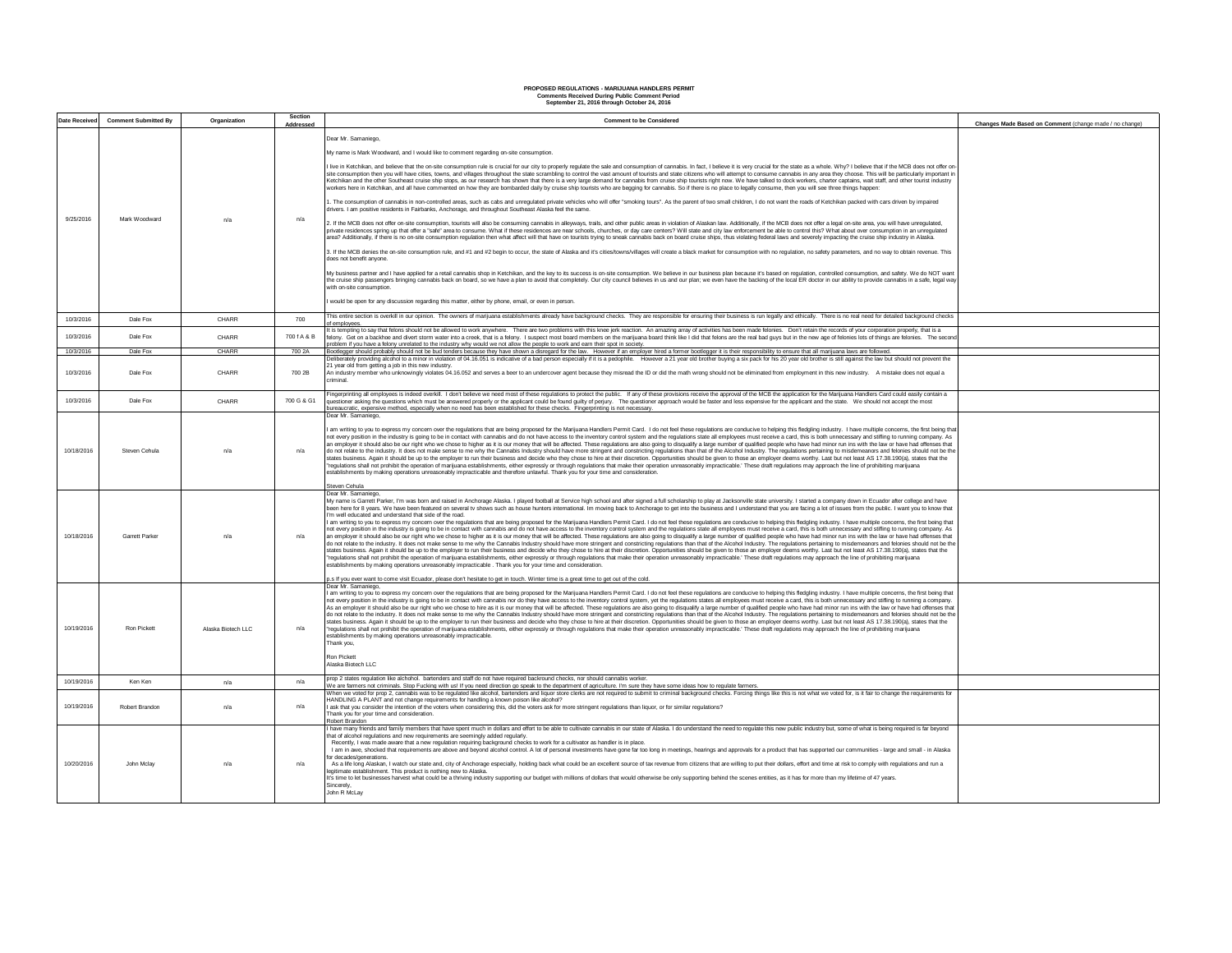## **Comments Received During Public Comment Period PROPOSED REGULATIONS - MARIJUANA HANDLERS PERMIT September 21, 2016 through October 24, 2016**

| Date Received | <b>Comment Submitted By</b> | Organization       | Section     | <b>Comment to be Considered</b>                                                                                                                                                                                                                                                                                                                                                                                                                                                                                                                                                                                                                                                                                                                                                                                                                                                                                                                                                                                                                                                                                                                                                                                                                                                                                                                                                                                                                                                                                                                                                                                                                                                                                                                                                                                                                                                                                                                                                                                                                                                                                                                                                                                                                                                                                                                                                                                                                                                                                                                                                                                                                                                                                                                                                                                                                                                                                                                                      |                                                         |
|---------------|-----------------------------|--------------------|-------------|----------------------------------------------------------------------------------------------------------------------------------------------------------------------------------------------------------------------------------------------------------------------------------------------------------------------------------------------------------------------------------------------------------------------------------------------------------------------------------------------------------------------------------------------------------------------------------------------------------------------------------------------------------------------------------------------------------------------------------------------------------------------------------------------------------------------------------------------------------------------------------------------------------------------------------------------------------------------------------------------------------------------------------------------------------------------------------------------------------------------------------------------------------------------------------------------------------------------------------------------------------------------------------------------------------------------------------------------------------------------------------------------------------------------------------------------------------------------------------------------------------------------------------------------------------------------------------------------------------------------------------------------------------------------------------------------------------------------------------------------------------------------------------------------------------------------------------------------------------------------------------------------------------------------------------------------------------------------------------------------------------------------------------------------------------------------------------------------------------------------------------------------------------------------------------------------------------------------------------------------------------------------------------------------------------------------------------------------------------------------------------------------------------------------------------------------------------------------------------------------------------------------------------------------------------------------------------------------------------------------------------------------------------------------------------------------------------------------------------------------------------------------------------------------------------------------------------------------------------------------------------------------------------------------------------------------------------------------|---------------------------------------------------------|
|               |                             |                    | Addressed   |                                                                                                                                                                                                                                                                                                                                                                                                                                                                                                                                                                                                                                                                                                                                                                                                                                                                                                                                                                                                                                                                                                                                                                                                                                                                                                                                                                                                                                                                                                                                                                                                                                                                                                                                                                                                                                                                                                                                                                                                                                                                                                                                                                                                                                                                                                                                                                                                                                                                                                                                                                                                                                                                                                                                                                                                                                                                                                                                                                      | Changes Made Based on Comment (change made / no change) |
| 9/25/2016     | Mark Woodward               | n/a                | n/a         | Dear Mr. Samaniego.<br>My name is Mark Woodward, and I would like to comment regarding on-site consumption.<br>live in Ketchikan, and believe that the on-site consumption rule is crucial for our city to properly requilate the sale and consumption of cannabis. In fact, I believe it is very crucial for the state as a whole. Why? I be<br>site consumption then you will have cities, towns, and villages throughout the state scrambling to control the yast amount of tourists and state citizens who will attempt to consume cannabis in any area they choose. This w<br>Ketchikan and the other Southeast cruise ship stons, as our research has shown that there is a very large demand for cannabis from cruise ship tourists right now. We have talked to dock workers, charter captains, wait staf<br>workers here in Ketchikan, and all have commented on how they are bombarded daily by cruise ship tourists who are begging for cannabis. So if there is no place to legally consume, then you will see three things happen:<br>. The consumption of cannabis in non-controlled areas, such as cabs and unregulated private vehicles who will offer "smoking tours". As the parent of two small children. I do not want the roads of Ketchikan packed with car<br>rivers. I am positive residents in Fairbanks, Anchorage, and throughout Southeast Alaska feel the same<br>2. If the MCB does not offer on-site consumption, tourists will also be consuming cannabis in alleyways, trails, and other public areas in violation of Alaskan law. Additionally, if the MCB does not offer a legal on-site a<br>private residences spring up that offer a "safe" area to consume. What if these residences are near schools, churches, or day care centers? Will state and city law enforcement be able to control this? What about over consu<br>area? Additionally, if there is no on-site consumption regulation then what affect will that have on tourists trying to sneak cannabis back on board cruise ships, thus violating federal laws and severely impacting the crui<br>3. If the MCB denies the on-site consumption rule, and #1 and #2 begin to occur, the state of Alaska and it's cities/towns/villages will create a black market for consumption with no regulation, no safety parameters, and n<br>does not benefit anvone<br>My business partner and I have applied for a retail cannabis shop in Ketchikan, and the key to its success is on-site consumption. We believe in our business plan because it's based on regulation, controlled consumption, a<br>the cruise ship passengers bringing cannabis back on board, so we have a plan to avoid that completely. Our city council believes in us and our plan; we even have the backing of the local ER doctor in our ability to provid<br>with on-site consumption<br>would be open for any discussion regarding this matter, either by phone, email, or even in person. |                                                         |
|               |                             |                    |             | This entire section is overkill in our opinion. The owners of marijuana establishments already have background checks. They are responsible for ensuring their business is run legally and ethically. There is no real need fo                                                                                                                                                                                                                                                                                                                                                                                                                                                                                                                                                                                                                                                                                                                                                                                                                                                                                                                                                                                                                                                                                                                                                                                                                                                                                                                                                                                                                                                                                                                                                                                                                                                                                                                                                                                                                                                                                                                                                                                                                                                                                                                                                                                                                                                                                                                                                                                                                                                                                                                                                                                                                                                                                                                                       |                                                         |
| 10/3/2016     | Dale Fox                    | CHARR              | 700         | of employees<br>t is tempting to say that felons should not be allowed to work anywhere. There are two problems with this knee jerk reaction. An amazing array of activities has been made felonies. Don't retain the records of your corporat                                                                                                                                                                                                                                                                                                                                                                                                                                                                                                                                                                                                                                                                                                                                                                                                                                                                                                                                                                                                                                                                                                                                                                                                                                                                                                                                                                                                                                                                                                                                                                                                                                                                                                                                                                                                                                                                                                                                                                                                                                                                                                                                                                                                                                                                                                                                                                                                                                                                                                                                                                                                                                                                                                                       |                                                         |
| 10/3/2016     | Dale Fox                    | CHARR              | 700 f A & B | lelony. Get on a backhoe and divert storm water into a creek, that is a felony. I suspect most board members on the marijuana board think like I did that felons are the real bad guys but in the new age of felonies of sthin<br>roblem if you have a felony unrelated to the industry why would we not allow the people to work and earn their spot in society.                                                                                                                                                                                                                                                                                                                                                                                                                                                                                                                                                                                                                                                                                                                                                                                                                                                                                                                                                                                                                                                                                                                                                                                                                                                                                                                                                                                                                                                                                                                                                                                                                                                                                                                                                                                                                                                                                                                                                                                                                                                                                                                                                                                                                                                                                                                                                                                                                                                                                                                                                                                                    |                                                         |
| 10/3/2016     | Dale Fox                    | CHARR              | 700 2A      | Bootlegger should probably should not be bud tenders because they have shown a disregard for the law. However if an employer hired a former bootlegger it is their responsibility to ensure that all marijuana laws are follow                                                                                                                                                                                                                                                                                                                                                                                                                                                                                                                                                                                                                                                                                                                                                                                                                                                                                                                                                                                                                                                                                                                                                                                                                                                                                                                                                                                                                                                                                                                                                                                                                                                                                                                                                                                                                                                                                                                                                                                                                                                                                                                                                                                                                                                                                                                                                                                                                                                                                                                                                                                                                                                                                                                                       |                                                         |
| 10/3/2016     | Dale Fox                    | CHARR              | 700 2B      | Deliberately providing alcohol to a minor in violation of 04.16.051 is indicative of a bad person especially if it is a pedophile. However a 21 year old brother buying a six pack for his 20 year old brother is still agains<br>21 year old from getting a job in this new industry.<br>An industry member who unknowingly violates 04.16.052 and serves a beer to an undercover agent because they misread the ID or did the math wrong should not be eliminated from employment in this new industry. A mistake does<br>lenim:                                                                                                                                                                                                                                                                                                                                                                                                                                                                                                                                                                                                                                                                                                                                                                                                                                                                                                                                                                                                                                                                                                                                                                                                                                                                                                                                                                                                                                                                                                                                                                                                                                                                                                                                                                                                                                                                                                                                                                                                                                                                                                                                                                                                                                                                                                                                                                                                                                   |                                                         |
| 10/3/2016     | Dale Fox                    | CHARR              | 700 G & G1  | Fingerprinting all employees is indeed overkill. I don't believe we need most of these regulations to protect the public. If any of these provisions receive the approval of the MCB the application for the Marijuana Handler<br>uestioner asking the questions which must be answered properly or the applicant could be found guilty of perjury. The questioner approach would be faster and less expensive for the applicant and the state. We should not ac<br>ureaucratic, expensive method, especially when no need has been established for these checks. Fingerprinting is not necessary.                                                                                                                                                                                                                                                                                                                                                                                                                                                                                                                                                                                                                                                                                                                                                                                                                                                                                                                                                                                                                                                                                                                                                                                                                                                                                                                                                                                                                                                                                                                                                                                                                                                                                                                                                                                                                                                                                                                                                                                                                                                                                                                                                                                                                                                                                                                                                                   |                                                         |
| 10/18/2016    | Steven Cehula               | n/a                | n/a         | Dear Mr. Samaniego.<br>am writing to you to express my concern over the regulations that are being proposed for the Marijuana Handlers Permit Card. I do not feel these regulations are conducive to helping this fledgling industry. I have multiple<br>not every position in the industry is going to be in contact with cannabis and do not have access to the inventory control system and the regulations state all employees must receive a card, this is both unnecessary and st<br>an employer it should also be our right who we chose to higher as it is our money that will be affected. These regulations are also going to disqualify a large number of qualified people who have had minor run ins with the<br>do not relate to the industry. It does not make sense to me why the Cannabis Industry should have more stringent and constricting regulations than that of the Alcohol Industry. The regulations pertaining to misdemeanors an<br>states business. Again it should be up to the employer to run their business and decide who they chose to hire at their discretion. Opportunities should be given to those an employer deems worthy. Last but not least AS 17.<br>requiations shall not prohibit the operation of marijuana establishments, either expressly or through requiations that make their operation unreasonably impracticable.' These draft requiations may approach the line of proh<br>establishments by making operations unreasonably impracticable and therefore unlawful. Thank you for your time and consideration.<br>Steven Cehula                                                                                                                                                                                                                                                                                                                                                                                                                                                                                                                                                                                                                                                                                                                                                                                                                                                                                                                                                                                                                                                                                                                                                                                                                                                                                                                                                                                |                                                         |
| 10/18/2016    | Garrett Parke               | n/a                | n/a         | Dear Mr. Samaniego<br>My name is Garrett Parker, I'm was bom and raised in Anchorage Alaska. I played football at Service high school and after signed a full scholarship to play at Jacksonville state university. I started a company down in Ecua<br>been here for 8 years. We have been featured on several tv shows such as house hunters international. Im moving back to Anchorage to get into the business and I understand that you are facing a lot of issues from the publi<br>I'm well educated and understand that side of the road<br>am writing to you to express my concern over the regulations that are being proposed for the Marijuana Handlers Permit Card. I do not feel these regulations are conducive to helping this fledgling industry. I have multiple<br>not every position in the industry is going to be in contact with cannabis and do not have access to the inventory control system and the regulations state all employees must receive a card, this is both unnecessary and st<br>an employer it should also be our right who we chose to higher as it is our money that will be affected. These regulations are also going to disqualify a large number of qualified people who have had minor run ins with the<br>do not relate to the industry. It does not make sense to me why the Cannabis Industry should have more stringent and constricting regulations than that of the Alcohol Industry. The regulations pertaining to misdemeanors an<br>states business. Again it should be up to the employer to run their business and decide who they chose to hire at their discretion. Opportunities should be given to those an employer deems worthy. Last but not least AS 17.<br>regulations shall not prohibit the operation of marijuana establishments, either expressly or through regulations that make their operation unreasonably impracticable.' These draft regulations may approach the line of proh<br>establishments by making operations unreasonably impracticable . Thank you for your time and consideration.<br>p.s If you ever want to come visit Ecuador, please don't hesitate to get in touch. Winter time is a great time to get out of the cold.                                                                                                                                                                                                                                                                                                                                                                                                                                                                                                                                                                                                                                                                                                                                                |                                                         |
| 10/19/2016    | <b>Ron Pickett</b>          | Alaska Biotech LLC | n/a         | Dear Mr. Samaniego.<br>am writing to you to express my concern over the regulations that are being proposed for the Marijuana Handlers Permit Card. I do not feel these regulations are conducive to helping this fledgling industry. I have multiple<br>not every position in the industry is going to be in contact with cannabis nor do they have access to the inventory control system, yet the regulations states all employees must receive a card, this is both unnecessary and<br>As an employer it should also be our right who we chose to hire as it is our money that will be affected. These regulations are also going to disqualify a large number of qualified people who have had minor run ins with th<br>do not relate to the industry. It does not make sense to me why the Cannabis Industry should have more stringent and constricting regulations than that of the Alcohol Industry. The regulations pertaining to misdemeanors an<br>states business. Again it should be up to the employer to run their business and decide who they chose to hire at their discretion. Opportunities should be given to those an employer deems worthy. Last but not least AS 17.<br>"regulations shall not prohibit the operation of marijuana establishments, either expressly or through regulations that make their operation unreasonably impracticable.' These draft regulations may approach the line of pro<br>establishments by making operations unreasonably impracticable.<br>Thank you.<br><b>Ron Pickett</b><br>Alaska Bintech LLC                                                                                                                                                                                                                                                                                                                                                                                                                                                                                                                                                                                                                                                                                                                                                                                                                                                                                                                                                                                                                                                                                                                                                                                                                                                                                                                                                                                                         |                                                         |
| 10/19/2016    | Ken Ken                     | n/a                | n/a         | prop 2 states regulation like alchohol. bartenders and staff do not have required backround checks, nor should cannabis worker.<br>We are farmers not criminals. Stop Fucking with us! If you need direction go speak to the department of agriculture. I'm sure they have some ideas how to regulate farmers.                                                                                                                                                                                                                                                                                                                                                                                                                                                                                                                                                                                                                                                                                                                                                                                                                                                                                                                                                                                                                                                                                                                                                                                                                                                                                                                                                                                                                                                                                                                                                                                                                                                                                                                                                                                                                                                                                                                                                                                                                                                                                                                                                                                                                                                                                                                                                                                                                                                                                                                                                                                                                                                       |                                                         |
| 10/19/2016    | Robert Brandon              | n/a                | n/a         | When we voted for prop 2, cannabis was to be regulated like alcohol, bartenders and liquor store clerks are not required to submit to criminal background checks. Forcing things like this is not what we voted for, is it fai<br>HANDLING A PLANT and not change requirements for handling a known poison like alcohol?<br>I ask that you consider the intention of the voters when considering this, did the voters ask for more stringent regulations than liquor, or for similar regulations?<br>Thank you for your time and consideration.<br>Robert Brandon                                                                                                                                                                                                                                                                                                                                                                                                                                                                                                                                                                                                                                                                                                                                                                                                                                                                                                                                                                                                                                                                                                                                                                                                                                                                                                                                                                                                                                                                                                                                                                                                                                                                                                                                                                                                                                                                                                                                                                                                                                                                                                                                                                                                                                                                                                                                                                                                    |                                                         |
| 10/20/2016    | John Mclav                  | n/a                | n/a         | have many friends and family members that have spent much in dollars and effort to be able to cultivate cannabis in our state of Alaska. I do understand the need to regulate this new public industry but, some of what is be<br>that of alcohol regulations and new requirements are seemingly added regularly<br>Recently. I was made aware that a new regulation reguiring background checks to work for a cultivator as handler is in place.<br>I am in awe, shocked that requirements are above and beyond alcohol control. A lot of personal investments have gone far too long in meetings, hearings and approvals for a product that has supported our communities - large<br>for decades/generations.<br>As a life long Alaskan, I watch our state and, city of Anchorage especially, holding back what could be an excellent source of tax revenue from citizens that are willing to put their dollars, effort and time at risk to com<br>egitimate establishment. This product is nothing new to Alaska.<br>It's time to let businesses harvest what could be a thriving industry supporting our budget with millions of dollars that would otherwise be only supporting behind the scenes entities, as it has for more than my lifetime o<br>Sincerely.<br>John R McLay                                                                                                                                                                                                                                                                                                                                                                                                                                                                                                                                                                                                                                                                                                                                                                                                                                                                                                                                                                                                                                                                                                                                                                                                                                                                                                                                                                                                                                                                                                                                                                                                                                                                                 |                                                         |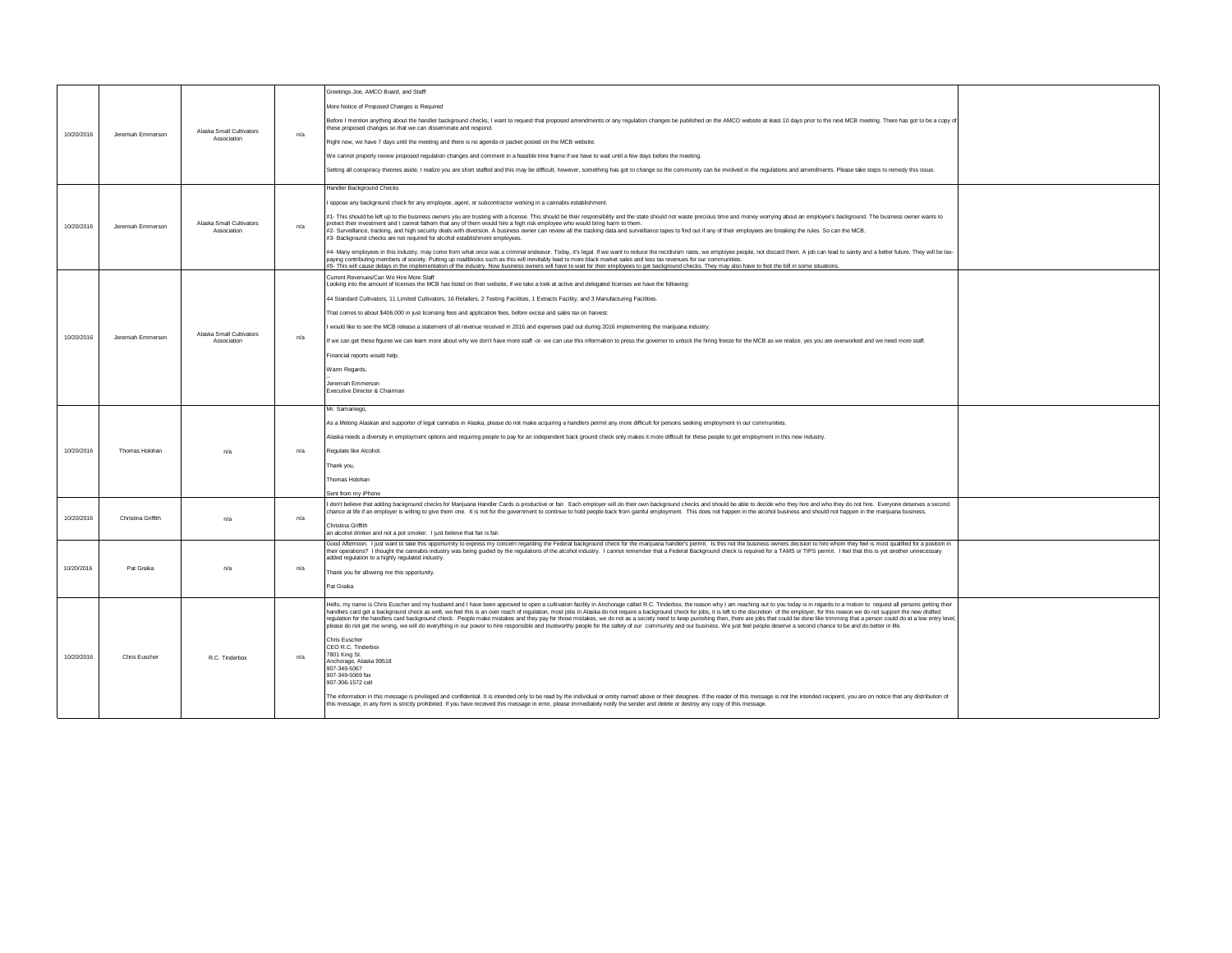|            | Jeremiah Emmerson  |                                         |     | Greetings Joe, AMCO Board, and Staff!                                                                                                                                                                                                                                                                                                                                                                                                                                                                                                                                                                                                                                                                                                                                                                                                                                                                                                                                      |  |
|------------|--------------------|-----------------------------------------|-----|----------------------------------------------------------------------------------------------------------------------------------------------------------------------------------------------------------------------------------------------------------------------------------------------------------------------------------------------------------------------------------------------------------------------------------------------------------------------------------------------------------------------------------------------------------------------------------------------------------------------------------------------------------------------------------------------------------------------------------------------------------------------------------------------------------------------------------------------------------------------------------------------------------------------------------------------------------------------------|--|
|            |                    |                                         |     | More Notice of Proposed Changes is Required                                                                                                                                                                                                                                                                                                                                                                                                                                                                                                                                                                                                                                                                                                                                                                                                                                                                                                                                |  |
| 10/20/2016 |                    | Alaska Small Cultivators                | n/a | Before I mention anything about the handler background checks, I want to request that proposed amendments or any regulation changes be published on the AMCO website at least 10 days prior to the next MCB meeting. There has<br>these proposed changes so that we can disseminate and respond.                                                                                                                                                                                                                                                                                                                                                                                                                                                                                                                                                                                                                                                                           |  |
|            |                    | Association                             |     | Right now, we have 7 days until the meeting and there is no agenda or packet posted on the MCB website.                                                                                                                                                                                                                                                                                                                                                                                                                                                                                                                                                                                                                                                                                                                                                                                                                                                                    |  |
|            |                    |                                         |     | We cannot properly review proposed regulation changes and comment in a feasible time frame if we have to wait until a few days before the meeting.                                                                                                                                                                                                                                                                                                                                                                                                                                                                                                                                                                                                                                                                                                                                                                                                                         |  |
|            |                    |                                         |     | Setting all conspiracy theories aside, I realize you are short staffed and this may be difficult, however, something has got to change so the community can be involved in the regulations and amendments. Please take steps t                                                                                                                                                                                                                                                                                                                                                                                                                                                                                                                                                                                                                                                                                                                                             |  |
|            |                    |                                         |     | Handler Background Checks                                                                                                                                                                                                                                                                                                                                                                                                                                                                                                                                                                                                                                                                                                                                                                                                                                                                                                                                                  |  |
|            |                    |                                         |     | oppose any background check for any employee, agent, or subcontractor working in a cannabis establishment.                                                                                                                                                                                                                                                                                                                                                                                                                                                                                                                                                                                                                                                                                                                                                                                                                                                                 |  |
| 10/20/2016 | Jeremiah Emmerson  | Alaska Small Cultivators<br>Association | n/a | #1- This should be left up to the business owners you are trusting with a license. This should be their responsibility and the state should not waste precious time and money worrying about an employee's background. The bus<br>protect their investment and I cannot fathom that any of them would hire a high risk employee who would bring harm to them.<br>#2- Surveillance, tracking, and high security deals with diversion. A business owner can review all the tracking data and surveillance tapes to find out if any of their employees are breaking the rules. So can the MCB.<br>#3- Background checks are not required for alcohol establishment employees.                                                                                                                                                                                                                                                                                                 |  |
|            |                    |                                         |     | #4- Many employees in this industry, may come from what once was a criminal endeavor. Today, it's legal. If we want to reduce the recidivism rates, we employee people, not discard them. A job can lead to sanity and a bette<br>paying contributing members of society. Putting up roadblocks such as this will inevitably lead to more black market sales and less tax revenues for our communities.<br>#5- This will cause delays in the implementation of the industry. Now business owners will have to wait for their employees to get background checks. They may also have to foot the bill in some situations.                                                                                                                                                                                                                                                                                                                                                   |  |
|            |                    |                                         |     | Current Revenues/Can We Hire More Staff<br>Looking into the amount of licenses the MCB has listed on their website, if we take a look at active and delegated licenses we have the following:                                                                                                                                                                                                                                                                                                                                                                                                                                                                                                                                                                                                                                                                                                                                                                              |  |
|            |                    |                                         |     | 44 Standard Cultivators, 11 Limited Cultivators, 16 Retailers, 2 Testing Facilities, 1 Extracts Facility, and 3 Manufacturing Facilities.                                                                                                                                                                                                                                                                                                                                                                                                                                                                                                                                                                                                                                                                                                                                                                                                                                  |  |
|            |                    |                                         |     | That comes to about \$406,000 in just licensing fees and application fees, before excise and sales tax on harvest.                                                                                                                                                                                                                                                                                                                                                                                                                                                                                                                                                                                                                                                                                                                                                                                                                                                         |  |
|            |                    | Alaska Small Cultivators                |     | would like to see the MCB release a statement of all revenue received in 2016 and expenses paid out during 2016 implementing the marijuana industry.                                                                                                                                                                                                                                                                                                                                                                                                                                                                                                                                                                                                                                                                                                                                                                                                                       |  |
| 10/20/2016 | Jeremiah Emmerson  | Association                             | n/a | If we can get these figures we can learn more about why we don't have more staff -or- we can use this information to press the governor to unlock the hiring freeze for the MCB as we realize, yes you are overworked and we n                                                                                                                                                                                                                                                                                                                                                                                                                                                                                                                                                                                                                                                                                                                                             |  |
|            |                    |                                         |     | Financial reports would help                                                                                                                                                                                                                                                                                                                                                                                                                                                                                                                                                                                                                                                                                                                                                                                                                                                                                                                                               |  |
|            |                    |                                         |     | Warm Regards,                                                                                                                                                                                                                                                                                                                                                                                                                                                                                                                                                                                                                                                                                                                                                                                                                                                                                                                                                              |  |
|            |                    |                                         |     | Jeremiah Emmersor<br>Executive Director & Chairman                                                                                                                                                                                                                                                                                                                                                                                                                                                                                                                                                                                                                                                                                                                                                                                                                                                                                                                         |  |
|            |                    |                                         |     |                                                                                                                                                                                                                                                                                                                                                                                                                                                                                                                                                                                                                                                                                                                                                                                                                                                                                                                                                                            |  |
|            |                    |                                         |     | Mr. Samaniego,                                                                                                                                                                                                                                                                                                                                                                                                                                                                                                                                                                                                                                                                                                                                                                                                                                                                                                                                                             |  |
|            |                    |                                         |     |                                                                                                                                                                                                                                                                                                                                                                                                                                                                                                                                                                                                                                                                                                                                                                                                                                                                                                                                                                            |  |
|            |                    |                                         |     | As a lifelong Alaskan and supporter of legal cannabis in Alaska, please do not make acquiring a handlers permit any more difficult for persons seeking employment in our communities.                                                                                                                                                                                                                                                                                                                                                                                                                                                                                                                                                                                                                                                                                                                                                                                      |  |
|            |                    |                                         |     | Alaska needs a diversity in employment options and requiring people to pay for an independent back ground check only makes it more difficult for these people to get employment in this new industry.                                                                                                                                                                                                                                                                                                                                                                                                                                                                                                                                                                                                                                                                                                                                                                      |  |
| 10/20/2016 | Thomas Holohan     | n/a                                     | n/a | Regulate like Alcohol.                                                                                                                                                                                                                                                                                                                                                                                                                                                                                                                                                                                                                                                                                                                                                                                                                                                                                                                                                     |  |
|            |                    |                                         |     | Thank you,                                                                                                                                                                                                                                                                                                                                                                                                                                                                                                                                                                                                                                                                                                                                                                                                                                                                                                                                                                 |  |
|            |                    |                                         |     | Thomas Holohan                                                                                                                                                                                                                                                                                                                                                                                                                                                                                                                                                                                                                                                                                                                                                                                                                                                                                                                                                             |  |
|            |                    |                                         |     | Sent from my iPhone                                                                                                                                                                                                                                                                                                                                                                                                                                                                                                                                                                                                                                                                                                                                                                                                                                                                                                                                                        |  |
|            |                    |                                         |     | don't believe that adding background checks for Marijuana Handler Cards is productive or fair. Each employer will do their own background checks and should be able to decide who they hire and who they do not hire. Everyone<br>chance at life if an employer is willing to give them one. It is not for the government to continue to hold people back from gainful employment. This does not happen in the alcohol business and should not happen in the mar                                                                                                                                                                                                                                                                                                                                                                                                                                                                                                           |  |
| 10/20/2016 | Christina Griffith | n/a                                     | n/a | Christina Griffith<br>an alcohol drinker and not a pot smoker. I just believe that fair is fair.                                                                                                                                                                                                                                                                                                                                                                                                                                                                                                                                                                                                                                                                                                                                                                                                                                                                           |  |
|            |                    |                                         |     | Good Afternoon. I just want to take this opportumity to express my concern regarding the Federal background check for the marijuana handler's permit. Is this not the business owners decision to hire whom they feel is most<br>their operations? I thought the cannabis industry was being quided by the regulations of the alcohol industry. I cannot remember that a Federal Background check is required for a TAMS or TIPS permit. I feel that this is ye<br>added regulation to a highly regulated industry.                                                                                                                                                                                                                                                                                                                                                                                                                                                        |  |
| 10/20/2016 | Pot Groiko         | n/a                                     | n/a | Thank you for allowing me this opportunity.                                                                                                                                                                                                                                                                                                                                                                                                                                                                                                                                                                                                                                                                                                                                                                                                                                                                                                                                |  |
|            |                    |                                         |     | Pat Graika                                                                                                                                                                                                                                                                                                                                                                                                                                                                                                                                                                                                                                                                                                                                                                                                                                                                                                                                                                 |  |
|            |                    |                                         |     | Hello, my name is Chris Euscher and my husband and I have been approved to open a cultivation facility in Anchorage called R.C. Tinderbox, the reason why I am reaching out to you today is in regards to a motion to request<br>handlers card get a background check as well, we feel this is an over reach of regulation, most jobs in Alaska do not require a background check for jobs, it is left to the discretion of the employer, for this reason we do<br>regulation for the handlers card background check. People make mistakes and they pay for those mistakes, we do not as a society need to keep punishing then, there are jobs that could be done like trimming that a person cou<br>please do not get me wrong, we will do everything in our power to hire responsible and trustworthy people for the safety of our community and our business. We just feel people deserve a second chance to be and do better in<br>Chris Euscher<br>CEO R.C. Tinderbox |  |
| 10/20/2016 | Chris Euscher      | R.C. Tinderbox                          | n/a | 7801 King St.<br>Anchorage, Alaska 99518                                                                                                                                                                                                                                                                                                                                                                                                                                                                                                                                                                                                                                                                                                                                                                                                                                                                                                                                   |  |
|            |                    |                                         |     | 907-349-5067<br>907-349-5069 fax                                                                                                                                                                                                                                                                                                                                                                                                                                                                                                                                                                                                                                                                                                                                                                                                                                                                                                                                           |  |
|            |                    |                                         |     | 907-306-1572 cell                                                                                                                                                                                                                                                                                                                                                                                                                                                                                                                                                                                                                                                                                                                                                                                                                                                                                                                                                          |  |
|            |                    |                                         |     | The information in this message is privileged and confidential. It is intended only to be read by the individual or entity named above or their designee. If the reader of this message is not the intended recipient, you are<br>this message, in any form is strictly prohibited. If you have received this message in error, please immediately notify the sender and delete or destroy any copy of this message.                                                                                                                                                                                                                                                                                                                                                                                                                                                                                                                                                       |  |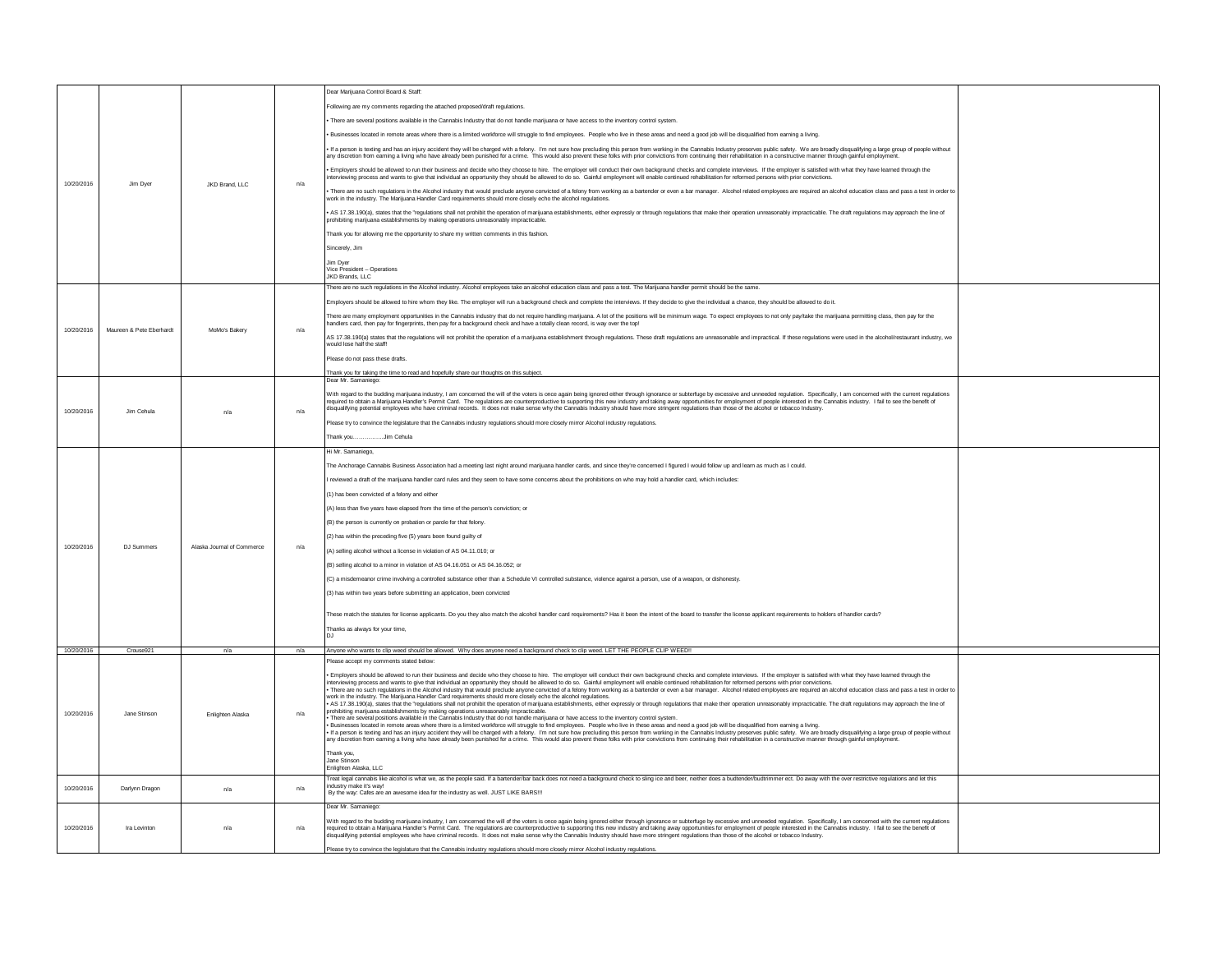| 10/20/2016 |                          | JKD Brand, LLC             |     | Dear Marijuana Control Board & Staff:                                                                                                                                                                                                                                                                                                                                                                                                                                                                                                                                                                                                                                   |  |
|------------|--------------------------|----------------------------|-----|-------------------------------------------------------------------------------------------------------------------------------------------------------------------------------------------------------------------------------------------------------------------------------------------------------------------------------------------------------------------------------------------------------------------------------------------------------------------------------------------------------------------------------------------------------------------------------------------------------------------------------------------------------------------------|--|
|            |                          |                            |     | Following are my comments regarding the attached proposed/draft regulations.                                                                                                                                                                                                                                                                                                                                                                                                                                                                                                                                                                                            |  |
|            |                          |                            |     | There are several positions available in the Cannabis Industry that do not handle marijuana or have access to the inventory control system.                                                                                                                                                                                                                                                                                                                                                                                                                                                                                                                             |  |
|            |                          |                            |     | · Businesses located in remote areas where there is a limited workforce will struggle to find employees. People who live in these areas and need a good job will be disqualified from earning a living.                                                                                                                                                                                                                                                                                                                                                                                                                                                                 |  |
|            |                          |                            |     | If a person is texting and has an injury accident they will be charged with a felony. I'm not sure how precluding this person from working in the Cannabis Industry preserves public safety. We are broadly disqualifying a la<br>any discretion from earning a living who have already been punished for a crime. This would also prevent these folks with prior convictions from continuing their rehabilitation in a constructive manner through gainful empl                                                                                                                                                                                                        |  |
|            |                          |                            |     | Employers should be allowed to run their business and decide who they choose to hire. The employer will conduct their own background checks and complete interviews. If the employer is satisfied with what they have learned<br>nterviewing process and wants to give that individual an opportunity they should be allowed to do so. Gainful employment will enable continued rehabilitation for reformed persons with prior convictions                                                                                                                                                                                                                              |  |
|            | Jim Dver                 |                            | n/a | There are no such regulations in the Alcohol industry that would preclude anyone convicted of a felony from working as a bartender or even a bar manager. Alcohol related employees are required an alcohol education class an<br>work in the industry. The Marijuana Handler Card requirements should more closely echo the alcohol regulations.                                                                                                                                                                                                                                                                                                                       |  |
|            |                          |                            |     | AS 17.38.190(a), states that the "regulations shall not prohibit the operation of marijuana establishments, either expressly or through regulations that make their operation unreasonably impracticable. The draft regulation<br>prohibiting marijuana establishments by making operations unreasonably impracticable.                                                                                                                                                                                                                                                                                                                                                 |  |
|            |                          |                            |     | Thank you for allowing me the opportunity to share my written comments in this fashion.                                                                                                                                                                                                                                                                                                                                                                                                                                                                                                                                                                                 |  |
|            |                          |                            |     | Sincerely, Jim                                                                                                                                                                                                                                                                                                                                                                                                                                                                                                                                                                                                                                                          |  |
|            |                          |                            |     | Jim Dyer                                                                                                                                                                                                                                                                                                                                                                                                                                                                                                                                                                                                                                                                |  |
|            |                          |                            |     | Vice President - Operations<br>JKD Brands, LLC                                                                                                                                                                                                                                                                                                                                                                                                                                                                                                                                                                                                                          |  |
|            |                          |                            |     | There are no such regulations in the Alcohol industry. Alcohol employees take an alcohol education class and pass a test. The Marijuana handler permit should be the same.                                                                                                                                                                                                                                                                                                                                                                                                                                                                                              |  |
|            |                          |                            | n/a | Employers should be allowed to hire whom they like. The employer will run a background check and complete the interviews. If they decide to give the individual a chance, they should be allowed to do it.                                                                                                                                                                                                                                                                                                                                                                                                                                                              |  |
|            |                          |                            |     | There are many employment opportunities in the Cannabis industry that do not require handling marijuana. A lot of the positions will be minimum wage. To expect employees to not only pay/take the marijuana permitting class,<br>handlers card, then pay for fingerprints, then pay for a background check and have a totally clean record, is way over the top!                                                                                                                                                                                                                                                                                                       |  |
| 10/20/2016 | Maureen & Pete Eberhardt | MoMo's Bakery              |     | AS 17.38.190(a) states that the regulations will not prohibit the operation of a marijuana establishment through regulations. These draft regulations are unreasonable and impractical. If these regulations were used in the<br>would lose half the staff!                                                                                                                                                                                                                                                                                                                                                                                                             |  |
|            |                          |                            |     | lease do not pass these drafts.                                                                                                                                                                                                                                                                                                                                                                                                                                                                                                                                                                                                                                         |  |
|            |                          |                            |     | Thank you for taking the time to read and hopefully share our thoughts on this subject.                                                                                                                                                                                                                                                                                                                                                                                                                                                                                                                                                                                 |  |
|            |                          |                            |     | Dear Mr. Samaniego                                                                                                                                                                                                                                                                                                                                                                                                                                                                                                                                                                                                                                                      |  |
| 10/20/2016 | Jim Cehula               | n/a                        | n/a | With regard to the budding marijuana industry, I am concerned the will of the voters is once again being ignored either through ignorance or subterfuge by excessive and unneeded regulation. Specifically, I am concerned wit<br>lequied to obtain Marijuna Handers Permit Card. The regulations are counterproductive to support a product of the market are productive for enployment of people mered to the cluster in the care in the care in the care of t                                                                                                                                                                                                        |  |
|            |                          |                            |     | lease try to convince the legislature that the Cannabis industry regulations should more closely mirror Alcohol industry regulations.                                                                                                                                                                                                                                                                                                                                                                                                                                                                                                                                   |  |
|            |                          |                            |     | Thank youJim Cehula                                                                                                                                                                                                                                                                                                                                                                                                                                                                                                                                                                                                                                                     |  |
|            |                          |                            |     | Hi Mr. Samaniego,                                                                                                                                                                                                                                                                                                                                                                                                                                                                                                                                                                                                                                                       |  |
|            |                          |                            |     | The Anchorage Cannabis Business Association had a meeting last night around marijuana handler cards, and since they're concerned I figured I would follow up and learn as much as I could.                                                                                                                                                                                                                                                                                                                                                                                                                                                                              |  |
|            |                          |                            |     | reviewed a draft of the marijuana handler card rules and they seem to have some concerns about the prohibitions on who may hold a handler card, which includes:                                                                                                                                                                                                                                                                                                                                                                                                                                                                                                         |  |
|            |                          |                            |     | (1) has been convicted of a felony and either                                                                                                                                                                                                                                                                                                                                                                                                                                                                                                                                                                                                                           |  |
|            |                          |                            |     | (A) less than five years have elapsed from the time of the person's conviction; or                                                                                                                                                                                                                                                                                                                                                                                                                                                                                                                                                                                      |  |
|            |                          |                            |     | (B) the person is currently on probation or parole for that felony.                                                                                                                                                                                                                                                                                                                                                                                                                                                                                                                                                                                                     |  |
|            |                          |                            |     | (2) has within the preceding five (5) years been found guilty of                                                                                                                                                                                                                                                                                                                                                                                                                                                                                                                                                                                                        |  |
| 10/20/2016 | DJ Summers               | Alaska Journal of Commerce | n/a | (A) selling alcohol without a license in violation of AS 04.11.010: or                                                                                                                                                                                                                                                                                                                                                                                                                                                                                                                                                                                                  |  |
|            |                          |                            |     | (B) selling alcohol to a minor in violation of AS 04.16.051 or AS 04.16.052; or                                                                                                                                                                                                                                                                                                                                                                                                                                                                                                                                                                                         |  |
|            |                          |                            |     | (C) a misdemeanor crime involving a controlled substance other than a Schedule VI controlled substance, violence against a person, use of a weapon, or dishonesty.                                                                                                                                                                                                                                                                                                                                                                                                                                                                                                      |  |
|            |                          |                            |     | (3) has within two years before submitting an application, been convicted                                                                                                                                                                                                                                                                                                                                                                                                                                                                                                                                                                                               |  |
|            |                          |                            |     |                                                                                                                                                                                                                                                                                                                                                                                                                                                                                                                                                                                                                                                                         |  |
|            |                          |                            |     | These match the statutes for license applicants. Do you they also match the alcohol handler card requirements? Has it been the intent of the board to transfer the license applicant requirements to holders of handler cards?                                                                                                                                                                                                                                                                                                                                                                                                                                          |  |
|            |                          |                            |     | Thanks as always for your time,                                                                                                                                                                                                                                                                                                                                                                                                                                                                                                                                                                                                                                         |  |
| 10/20/2016 | Crouse921                |                            | n/a | Anyone who wants to clip weed should be allowed. Why does anyone need a background check to clip weed. LET THE PEOPLE CLIP WEED!!                                                                                                                                                                                                                                                                                                                                                                                                                                                                                                                                       |  |
|            |                          |                            |     | lease accept my comments stated below:                                                                                                                                                                                                                                                                                                                                                                                                                                                                                                                                                                                                                                  |  |
|            |                          | Enlighten Alaska           | n/a | Employers should be allowed to run their business and decide who they choose to hire. The employer will conduct their own background checks and complete interviews. If the employer is satisfied with what they have learned<br>interviewing process and wants to give that individual an coportunity they should be allowed to do so. Gainful employment will enable continued rehabilitation for reformed persons with prior convictions.                                                                                                                                                                                                                            |  |
|            |                          |                            |     | There are no such regulations in the Alcohol industry that would preclude anyone convicted of a felony from working as a bartender or even a bar manager. Alcohol related employees are required an alcohol education class an                                                                                                                                                                                                                                                                                                                                                                                                                                          |  |
|            |                          |                            |     | work in the industry. The Marijuana Handler Card requirements should more closely echo the alcohol regulations.<br>. AS 17.38.190(a), states that the "regulations shall not prohibit the operation of marijuana establishments, either expressly or through regulations that make their operation unreasonably impracticable. The draft regulati                                                                                                                                                                                                                                                                                                                       |  |
| 10/20/2016 | Jane Stinson             |                            |     | prohibiting manjuana establishments by making operations unreasonably impracticable.<br>There are several positions available in the Cannabis Industry that do not handle marijuana or have access to the inventory control system                                                                                                                                                                                                                                                                                                                                                                                                                                      |  |
|            |                          |                            |     | Businesses located in remote areas where there is a limited workforce will struggle to find employees. People who live in these areas and need a good job will be disqualified from earning a living.<br>I if a person is toding and has an injuy accident they will be charged with a fedor. I'm not sure frow precluding this preconform working in the Carnabis Industry netserves public stefay. We are broaded in the content of t                                                                                                                                                                                                                                 |  |
|            |                          |                            |     | Thank you.                                                                                                                                                                                                                                                                                                                                                                                                                                                                                                                                                                                                                                                              |  |
|            |                          |                            |     | Jane Stinson<br>Enlighten Alaska, LLC                                                                                                                                                                                                                                                                                                                                                                                                                                                                                                                                                                                                                                   |  |
|            |                          |                            |     | Treat legal cannabis like alcohol is what we, as the people said. If a bartender/bar back does not need a background check to sling ice and beer, neither does a budtender/budtrimmer ect. Do away with the over restrictive r                                                                                                                                                                                                                                                                                                                                                                                                                                          |  |
| 10/20/2016 | Darlynn Dragon           | n/a                        | n/a | ndustry make it's way!<br>By the way: Cafes are an awesome idea for the industry as well. JUST LIKE BARS !!!                                                                                                                                                                                                                                                                                                                                                                                                                                                                                                                                                            |  |
|            |                          |                            |     | Dear Mr. Samaniego:                                                                                                                                                                                                                                                                                                                                                                                                                                                                                                                                                                                                                                                     |  |
| 10/20/2016 | Ira Levinton             | n/a                        | n/a | With regard to the budding marijuana industry, I am concerned the will of the voters is once again being ignored either through ignorance or subterfuge by excessive and unneeded regulation. Specifically, I am concerned wit<br>required to obtain a Marijuana Handler's Permit Card. The regulations are counterproductive to supporting this new industry and taking away opportunities for employment of people interested in the Cannabis industry. I fail<br>disqualifying potential employees who have criminal records. It does not make sense why the Cannabis Industry should have more stringent regulations than those of the alcohol or tobacco Industry. |  |
|            |                          |                            |     | Please try to convince the legislature that the Cannabis industry regulations should more closely mirror Alcohol industry regulations.                                                                                                                                                                                                                                                                                                                                                                                                                                                                                                                                  |  |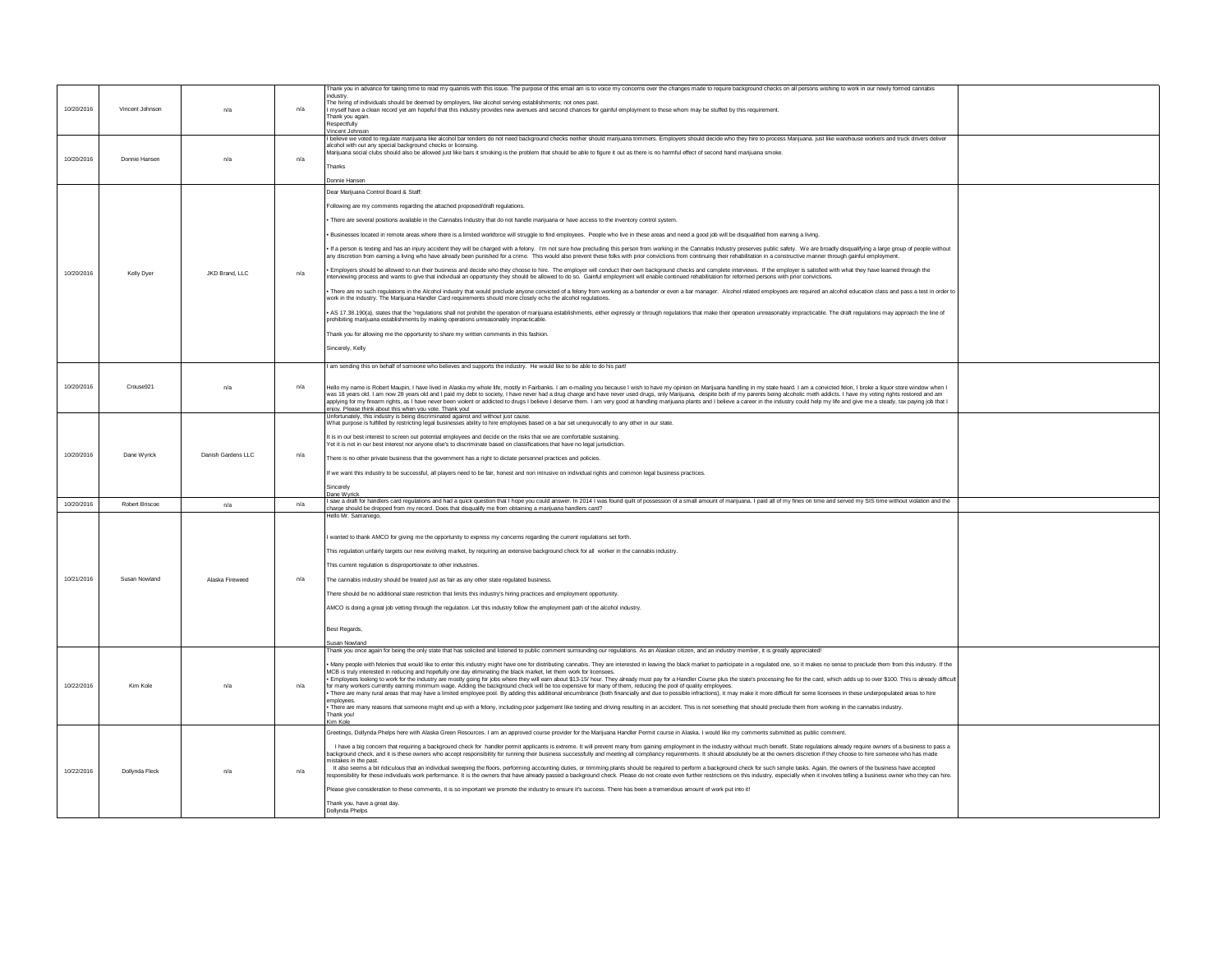| 10/20/2016 | Vincent Johnson | n/a                | n/a | hank you in advance for taking time to read my quarrels with this issue. The purpose of this email am is to voice my concerns over the changes made to require background checks on all persons wishing to work in our newly f<br>ndustry<br>The hiring of individuals should be deemed by employers, like alcohol serving establishments; not ones past<br>myself have a clean record yet am hopeful that this industry provides new avenues and second chances for gainful employment to those whom may be stuffed by this requirement.<br>Thank you again.<br>Respectfully<br>Vincent Johnson |
|------------|-----------------|--------------------|-----|--------------------------------------------------------------------------------------------------------------------------------------------------------------------------------------------------------------------------------------------------------------------------------------------------------------------------------------------------------------------------------------------------------------------------------------------------------------------------------------------------------------------------------------------------------------------------------------------------|
|            |                 |                    |     | I believe we voted to regulate marijuana like alcohol bar tenders do not need background checks neither should marijuana trimmers. Employers should decide who they hire to process Marijuana, just like warehouse workers and                                                                                                                                                                                                                                                                                                                                                                   |
|            |                 |                    |     | alcohol with out any special background checks or licensing.<br>Marijuana social clubs should also be allowed just like bars it smoking is the problem that should be able to figure it out as there is no harmful effect of second hand marijuana smoke.                                                                                                                                                                                                                                                                                                                                        |
| 10/20/2016 | Donnie Hansen   | n/a                | n/a |                                                                                                                                                                                                                                                                                                                                                                                                                                                                                                                                                                                                  |
|            |                 |                    |     | Thanks                                                                                                                                                                                                                                                                                                                                                                                                                                                                                                                                                                                           |
|            |                 |                    |     | Donnie Hansen                                                                                                                                                                                                                                                                                                                                                                                                                                                                                                                                                                                    |
|            |                 |                    |     | Dear Marijuana Control Board & Staff:                                                                                                                                                                                                                                                                                                                                                                                                                                                                                                                                                            |
|            |                 |                    |     | Following are my comments regarding the attached proposed/draft regulations.                                                                                                                                                                                                                                                                                                                                                                                                                                                                                                                     |
|            |                 |                    |     | There are several positions available in the Cannabis Industry that do not handle marijuana or have access to the inventory control system.                                                                                                                                                                                                                                                                                                                                                                                                                                                      |
|            |                 |                    |     | · Businesses located in remote areas where there is a limited workforce will struggle to find employees. People who live in these areas and need a good job will be disqualified from earning a living.                                                                                                                                                                                                                                                                                                                                                                                          |
|            |                 |                    |     |                                                                                                                                                                                                                                                                                                                                                                                                                                                                                                                                                                                                  |
|            |                 |                    |     | If a person is texting and has an injury accident they will be charged with a felony. I'm not sure how precluding this person from working in the Cannabis Industry preserves public safety. We are broadly disqualifying a la<br>any discretion from earning a living who have already been punished for a crime. This would also prevent these folks with prior convictions from continuing their rehabilitation in a constructive manner through gainful empl                                                                                                                                 |
| 10/20/2016 | Kelly Dver      | JKD Brand, LLC     | n/a | · Employers should be allowed to run their business and decide who they choose to hire. The employer will conduct their own background checks and complete interviews. If the employer is satisfied with what they have learne<br>tterviewing process and wants to give that individual an opportunity they should be allowed to do so. Gainful employment will enable continued rehabilitation for reformed persons with prior convictions.                                                                                                                                                     |
|            |                 |                    |     | There are no such regulations in the Alcohol industry that would preclude anyone convicted of a felony from working as a bartender or even a bar manager. Alcohol related employees are required an alcohol education class an<br>work in the industry. The Marijuana Handler Card requirements should more closely echo the alcohol requlations.                                                                                                                                                                                                                                                |
|            |                 |                    |     | AS 17.38.190(a), states that the "regulations shall not prohibit the operation of marijuana establishments, either expressly or through regulations that make their operation unreasonably impracticable. The draft regulation                                                                                                                                                                                                                                                                                                                                                                   |
|            |                 |                    |     | prohibiting marijuana establishments by making operations unreasonably impracticable.                                                                                                                                                                                                                                                                                                                                                                                                                                                                                                            |
|            |                 |                    |     | Thank you for allowing me the opportunity to share my written comments in this fashion.                                                                                                                                                                                                                                                                                                                                                                                                                                                                                                          |
|            |                 |                    |     | Sincerely, Kelly                                                                                                                                                                                                                                                                                                                                                                                                                                                                                                                                                                                 |
|            |                 |                    |     | I am sending this on behalf of someone who believes and supports the industry. He would like to be able to do his part!                                                                                                                                                                                                                                                                                                                                                                                                                                                                          |
|            |                 |                    |     |                                                                                                                                                                                                                                                                                                                                                                                                                                                                                                                                                                                                  |
| 10/20/2016 | Crouse921       | n/a                | n/a | Hello my name is Robert Maupin. I have lived in Alaska my whole life, mostly in Fairbanks, Lam e-mailing you because I wish to baye my opinion on Marijuana bandling in my state beard. Lam a convicted felon, I broke a liguo                                                                                                                                                                                                                                                                                                                                                                   |
|            |                 |                    |     | was 18 years old. I am now 28 years old and I paid my debt to society, I have never had a drug charge and have never used drugs, only Marijuana, despite both of my parents being alcoholic meth addicts. I have my voting rig<br>applying for my firearm rights, as I have never been violent or addicted to drugs I believe I deserve them. I am very good at handling marijuana plants and I believe a career in the industry could help my life and give me                                                                                                                                  |
|            |                 |                    |     | enjoy. Please think about this when you vote. Thank you!<br>Unfortunately, this industry is being discriminated against and without just cause.                                                                                                                                                                                                                                                                                                                                                                                                                                                  |
|            |                 |                    |     | What purpose is fulfilled by restricting legal businesses ability to hire employees based on a bar set unequivocally to any other in our state.                                                                                                                                                                                                                                                                                                                                                                                                                                                  |
|            |                 |                    |     | It is in our best interest to screen out potential employees and decide on the risks that we are comfortable sustaining                                                                                                                                                                                                                                                                                                                                                                                                                                                                          |
|            |                 |                    |     | Yet it is not in our best interest nor anyone else's to discriminate based on classifications that have no legal jurisdiction.                                                                                                                                                                                                                                                                                                                                                                                                                                                                   |
| 10/20/2016 | Dane Wyrick     | Danish Gardens LLC | n/a | There is no other private business that the government has a right to dictate personnel practices and policies.                                                                                                                                                                                                                                                                                                                                                                                                                                                                                  |
|            |                 |                    |     | If we want this industry to be successful, all players need to be fair, honest and non intrusive on individual rights and common legal business practices.                                                                                                                                                                                                                                                                                                                                                                                                                                       |
|            |                 |                    |     |                                                                                                                                                                                                                                                                                                                                                                                                                                                                                                                                                                                                  |
|            |                 |                    |     |                                                                                                                                                                                                                                                                                                                                                                                                                                                                                                                                                                                                  |
|            |                 |                    |     | Sinnarah<br>Dane Wyrick                                                                                                                                                                                                                                                                                                                                                                                                                                                                                                                                                                          |
| 10/20/2016 | Robert Briscos  | n/a                | n/a | saw a draft for handlers card regulations and had a quick question that I hope you could answer. In 2014 I was found quilt of possession of a small amount of marijuana. I paid all of my fines on time and served my SIS time<br>charge should be dropped from my record. Does that disgualify me from obtaining a marijuana handlers card?                                                                                                                                                                                                                                                     |
|            |                 |                    |     | Hello Mr. Samaniego.                                                                                                                                                                                                                                                                                                                                                                                                                                                                                                                                                                             |
|            |                 |                    |     |                                                                                                                                                                                                                                                                                                                                                                                                                                                                                                                                                                                                  |
|            |                 |                    |     | I wanted to thank AMCO for giving me the opportunity to express my concerns regarding the current regulations set forth.                                                                                                                                                                                                                                                                                                                                                                                                                                                                         |
|            |                 |                    |     | This regulation unfairly targets our new evolving market, by requiring an extensive background check for all worker in the cannabis industry.                                                                                                                                                                                                                                                                                                                                                                                                                                                    |
|            |                 |                    |     | This current regulation is disproportionate to other industries.                                                                                                                                                                                                                                                                                                                                                                                                                                                                                                                                 |
| 10/21/2016 | Susan Nowland   | Alaska Fireweed    | n/a | The cannabis industry should be treated just as fair as any other state regulated business.                                                                                                                                                                                                                                                                                                                                                                                                                                                                                                      |
|            |                 |                    |     |                                                                                                                                                                                                                                                                                                                                                                                                                                                                                                                                                                                                  |
|            |                 |                    |     | There should be no additional state restriction that limits this industry's hiring practices and employment opportunity.                                                                                                                                                                                                                                                                                                                                                                                                                                                                         |
|            |                 |                    |     | AMCO is doing a great job vetting through the regulation. Let this industry follow the employment path of the alcohol industry.                                                                                                                                                                                                                                                                                                                                                                                                                                                                  |
|            |                 |                    |     | <b>Best Regards</b>                                                                                                                                                                                                                                                                                                                                                                                                                                                                                                                                                                              |
|            |                 |                    |     | <b>Susan Nowland</b>                                                                                                                                                                                                                                                                                                                                                                                                                                                                                                                                                                             |
|            |                 |                    |     | Thank you once again for being the only state that has solicited and listened to public comment surrounding our regulations. As an Alaskan citizen, and an industry member, it is greatly appreciated!                                                                                                                                                                                                                                                                                                                                                                                           |
|            |                 |                    |     | . Many people with felonies that would like to enter this industry might have one for distributing cannabis. They are interested in leaving the black market to participate in a regulated one, so it makes no sense to preclu                                                                                                                                                                                                                                                                                                                                                                   |
|            |                 |                    |     | MCB is truly interested in reducing and hopefully one day eliminating the black market, let them work for licensees                                                                                                                                                                                                                                                                                                                                                                                                                                                                              |
| 10/22/2016 | Kim Kole        | n/a                | n/a | Employees looking to work for the industry are mostly going for jobs where they will earn about \$13-15/ hour. They already must pay for a Handler Course plus the state's processing fee for the card, which adds up to over \$<br>for many workers currently earning minimum wage. Adding the background check will be too expensive for many of them, reducing the pool of quality employees                                                                                                                                                                                                  |
|            |                 |                    |     | There are many rural areas that may have a limited employee pool. By adding this additional encumbrance (both financially and due to possible infractions), it may make it more difficult for some licensees in these underpop<br>emplovees                                                                                                                                                                                                                                                                                                                                                      |
|            |                 |                    |     | There are many reasons that someone might end up with a felony, including poor judgement like texting and driving resulting in an accident. This is not something that should preclude them from working in the cannabis indus<br>Thank you!                                                                                                                                                                                                                                                                                                                                                     |
|            |                 |                    |     | Kim Kole                                                                                                                                                                                                                                                                                                                                                                                                                                                                                                                                                                                         |
|            |                 |                    |     | Greetings, Dollynda Phelps here with Alaska Green Resources, I am an approved course provider for the Marijuana Handler Permit course in Alaska, I would like my comments submitted as public comment.                                                                                                                                                                                                                                                                                                                                                                                           |
|            |                 |                    |     | I have a big concern that requiring a background check for handler permit applicants is extreme. It will prevent many from gaining employment in the industry without much benefit. State regulations already require owners o                                                                                                                                                                                                                                                                                                                                                                   |
|            |                 |                    |     | background check, and it is these owners who accept responsibility for running their business successfully and meeting all compliancy requirements. It should absolutely be at the owners discretion if they choose to hire so<br>istakes in the past                                                                                                                                                                                                                                                                                                                                            |
| 10/22/2016 | Dollynda Fleck  | n/a                | n/a | It also seems a bit ridiculous that an individual sweeping the floors, performing accounting duties, or trimming plants should be required to perform a background check for such simple tasks. Again, the owners of the busin<br>sponsibility for these individuals work performance. It is the owners that have already passed a background check. Please do not create even further restrictions on this industry, especially when it involves telling a busi                                                                                                                                 |
|            |                 |                    |     | Please give consideration to these comments, it is so important we promote the industry to ensure it's success. There has been a tremendous amount of work put into it!                                                                                                                                                                                                                                                                                                                                                                                                                          |
|            |                 |                    |     | Thank you, have a great day.<br>Dollynda Phelps                                                                                                                                                                                                                                                                                                                                                                                                                                                                                                                                                  |